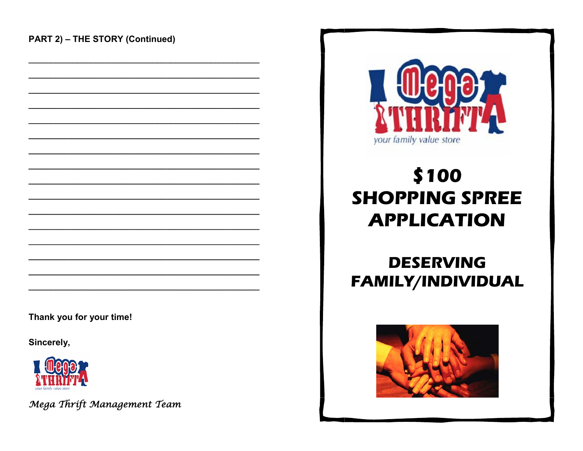

## \$100 **SHOPPING SPREE APPLICATION**

## **DESERVING** FAMILY/INDIVIDUAL



Thank you for your time!

Sincerely,



Mega Thrift Management Team